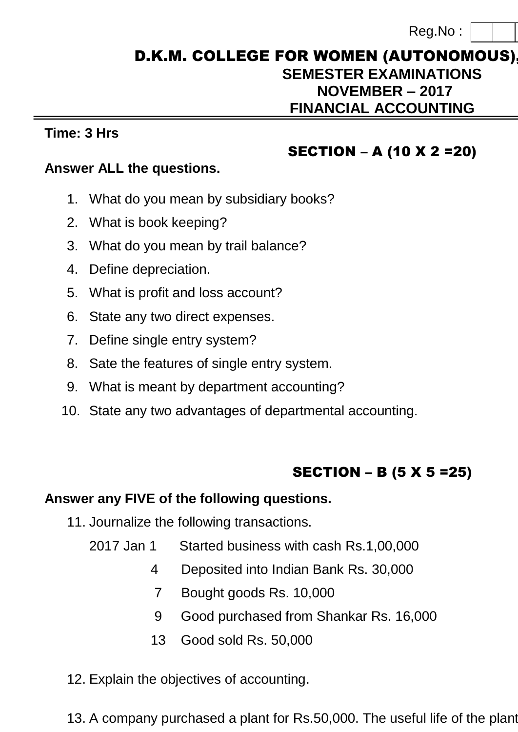## D.K.M. COLLEGE FOR WOMEN (AUTONOMOUS) **SEMESTER EXAMINATIONS NOVEMBER – 2017 FINANCIAL ACCOUNTING**

#### **Time: 3 Hrs Max. Marks: 75**

## SECTION – A (10 X 2 =20)

### **Answer ALL the questions.**

- 1. What do you mean by subsidiary books?
- 2. What is book keeping?
- 3. What do you mean by trail balance?
- 4. Define depreciation.
- 5. What is profit and loss account?
- 6. State any two direct expenses.
- 7. Define single entry system?
- 8. Sate the features of single entry system.
- 9. What is meant by department accounting?
- 10. State any two advantages of departmental accounting.

# SECTION – B (5 X 5 =25)

### **Answer any FIVE of the following questions.**

- 11. Journalize the following transactions.
	- 2017 Jan 1 Started business with cash Rs.1,00,000
		- 4 Deposited into Indian Bank Rs. 30,000
		- 7 Bought goods Rs. 10,000
		- 9 Good purchased from Shankar Rs. 16,000
		- 13 Good sold Rs. 50,000
- 12. Explain the objectives of accounting.
- 13. A company purchased a plant for Rs.50,000. The useful life of the plant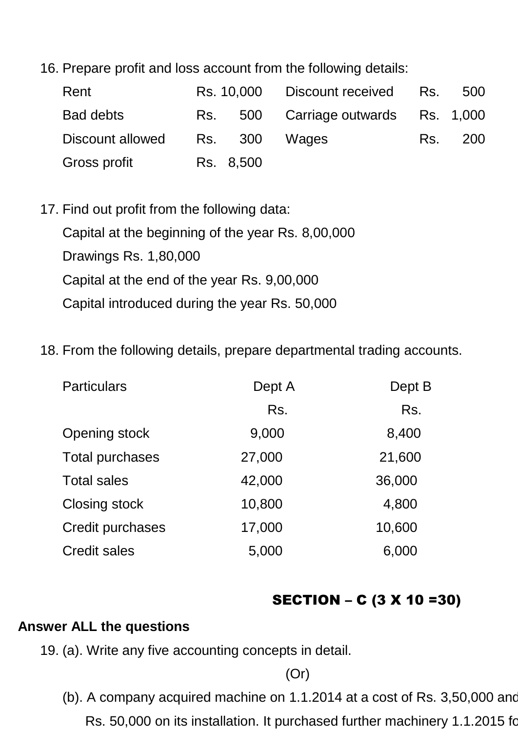16. Prepare profit and loss account from the following details:

| Rent             |           | Rs. 10,000 Discount received Rs.    | 500     |
|------------------|-----------|-------------------------------------|---------|
| <b>Bad debts</b> |           | Rs. 500 Carriage outwards Rs. 1,000 |         |
| Discount allowed |           | Rs. 300 Wages                       | Rs. 200 |
| Gross profit     | Rs. 8,500 |                                     |         |

- 17. Find out profit from the following data: Capital at the beginning of the year Rs. 8,00,000 Drawings Rs. 1,80,000 Capital at the end of the year Rs. 9,00,000 Capital introduced during the year Rs. 50,000
- 18. From the following details, prepare departmental trading accounts.

| Dept A | Dept B |
|--------|--------|
| Rs.    | Rs.    |
| 9,000  | 8,400  |
| 27,000 | 21,600 |
| 42,000 | 36,000 |
| 10,800 | 4,800  |
| 17,000 | 10,600 |
| 5,000  | 6,000  |
|        |        |

## SECTION – C (3 X 10 =30)

### **Answer ALL the questions**

19. (a). Write any five accounting concepts in detail.

(Or)

- (b). A company acquired machine on  $1.1.2014$  at a cost of Rs. 3,50,000 and
	- Rs. 50,000 on its installation. It purchased further machinery 1.1.2015 for